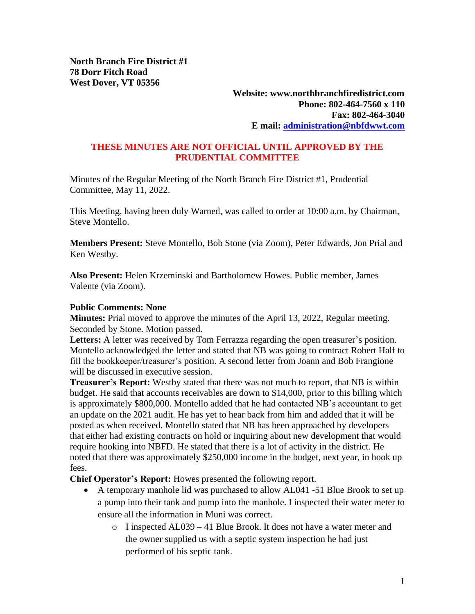**Website: www.northbranchfiredistrict.com Phone: 802-464-7560 x 110 Fax: 802-464-3040 E mail: [administration@nbfdwwt.com](mailto:administration@nbfdwwt.com)**

## **THESE MINUTES ARE NOT OFFICIAL UNTIL APPROVED BY THE PRUDENTIAL COMMITTEE**

Minutes of the Regular Meeting of the North Branch Fire District #1, Prudential Committee, May 11, 2022.

This Meeting, having been duly Warned, was called to order at 10:00 a.m. by Chairman, Steve Montello.

**Members Present:** Steve Montello, Bob Stone (via Zoom), Peter Edwards, Jon Prial and Ken Westby.

**Also Present:** Helen Krzeminski and Bartholomew Howes. Public member, James Valente (via Zoom).

## **Public Comments: None**

**Minutes:** Prial moved to approve the minutes of the April 13, 2022, Regular meeting. Seconded by Stone. Motion passed.

Letters: A letter was received by Tom Ferrazza regarding the open treasurer's position. Montello acknowledged the letter and stated that NB was going to contract Robert Half to fill the bookkeeper/treasurer's position. A second letter from Joann and Bob Frangione will be discussed in executive session.

**Treasurer's Report:** Westby stated that there was not much to report, that NB is within budget. He said that accounts receivables are down to \$14,000, prior to this billing which is approximately \$800,000. Montello added that he had contacted NB's accountant to get an update on the 2021 audit. He has yet to hear back from him and added that it will be posted as when received. Montello stated that NB has been approached by developers that either had existing contracts on hold or inquiring about new development that would require hooking into NBFD. He stated that there is a lot of activity in the district. He noted that there was approximately \$250,000 income in the budget, next year, in hook up fees.

**Chief Operator's Report:** Howes presented the following report.

- A temporary manhole lid was purchased to allow AL041 -51 Blue Brook to set up a pump into their tank and pump into the manhole. I inspected their water meter to ensure all the information in Muni was correct.
	- o I inspected AL039 41 Blue Brook. It does not have a water meter and the owner supplied us with a septic system inspection he had just performed of his septic tank.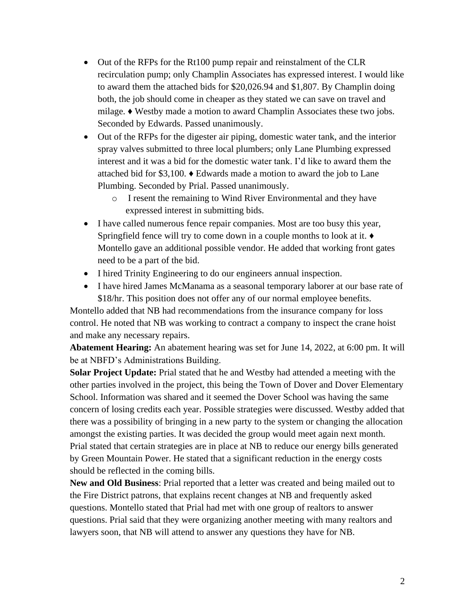- Out of the RFPs for the Rt100 pump repair and reinstalment of the CLR recirculation pump; only Champlin Associates has expressed interest. I would like to award them the attached bids for \$20,026.94 and \$1,807. By Champlin doing both, the job should come in cheaper as they stated we can save on travel and milage. ♦ Westby made a motion to award Champlin Associates these two jobs. Seconded by Edwards. Passed unanimously.
- Out of the RFPs for the digester air piping, domestic water tank, and the interior spray valves submitted to three local plumbers; only Lane Plumbing expressed interest and it was a bid for the domestic water tank. I'd like to award them the attached bid for \$3,100. ♦ Edwards made a motion to award the job to Lane Plumbing. Seconded by Prial. Passed unanimously.
	- o I resent the remaining to Wind River Environmental and they have expressed interest in submitting bids.
- I have called numerous fence repair companies. Most are too busy this year, Springfield fence will try to come down in a couple months to look at it. ♦ Montello gave an additional possible vendor. He added that working front gates need to be a part of the bid.
- I hired Trinity Engineering to do our engineers annual inspection.
- I have hired James McManama as a seasonal temporary laborer at our base rate of \$18/hr. This position does not offer any of our normal employee benefits.

Montello added that NB had recommendations from the insurance company for loss control. He noted that NB was working to contract a company to inspect the crane hoist and make any necessary repairs.

**Abatement Hearing:** An abatement hearing was set for June 14, 2022, at 6:00 pm. It will be at NBFD's Administrations Building.

**Solar Project Update:** Prial stated that he and Westby had attended a meeting with the other parties involved in the project, this being the Town of Dover and Dover Elementary School. Information was shared and it seemed the Dover School was having the same concern of losing credits each year. Possible strategies were discussed. Westby added that there was a possibility of bringing in a new party to the system or changing the allocation amongst the existing parties. It was decided the group would meet again next month. Prial stated that certain strategies are in place at NB to reduce our energy bills generated by Green Mountain Power. He stated that a significant reduction in the energy costs should be reflected in the coming bills.

**New and Old Business**: Prial reported that a letter was created and being mailed out to the Fire District patrons, that explains recent changes at NB and frequently asked questions. Montello stated that Prial had met with one group of realtors to answer questions. Prial said that they were organizing another meeting with many realtors and lawyers soon, that NB will attend to answer any questions they have for NB.